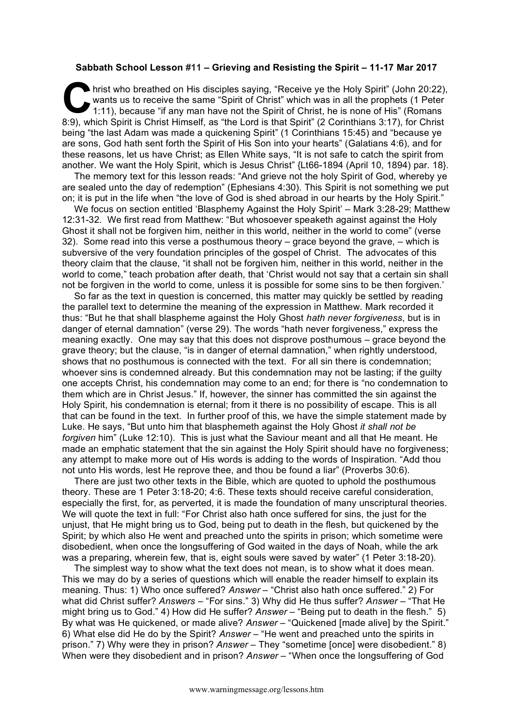## **Sabbath School Lesson #11 – Grieving and Resisting the Spirit – 11-17 Mar 2017**

hrist who breathed on His disciples saying, "Receive ye the Holy Spirit" (John 20:22), wants us to receive the same "Spirit of Christ" which was in all the prophets (1 Peter 1:11), because "if any man have not the Spirit of Christ, he is none of His" (Romans 8:9), which Spirit is Christ Himself, as "the Lord is that Spirit" (2 Corinthians 3:17), for Christ being "the last Adam was made a quickening Spirit" (1 Corinthians 15:45) and "because ye are sons, God hath sent forth the Spirit of His Son into your hearts" (Galatians 4:6), and for these reasons, let us have Christ; as Ellen White says, "It is not safe to catch the spirit from another. We want the Holy Spirit, which is Jesus Christ" {Lt66-1894 (April 10, 1894) par. 18}.  $\sum_{\substack{\text{wa}\n\text{min}}}$ 

The memory text for this lesson reads: "And grieve not the holy Spirit of God, whereby ye are sealed unto the day of redemption" (Ephesians 4:30). This Spirit is not something we put on; it is put in the life when "the love of God is shed abroad in our hearts by the Holy Spirit."

We focus on section entitled 'Blasphemy Against the Holy Spirit' – Mark 3:28-29; Matthew 12:31-32. We first read from Matthew: "But whosoever speaketh against against the Holy Ghost it shall not be forgiven him, neither in this world, neither in the world to come" (verse 32). Some read into this verse a posthumous theory – grace beyond the grave, – which is subversive of the very foundation principles of the gospel of Christ. The advocates of this theory claim that the clause, "it shall not be forgiven him, neither in this world, neither in the world to come," teach probation after death, that 'Christ would not say that a certain sin shall not be forgiven in the world to come, unless it is possible for some sins to be then forgiven.'

So far as the text in question is concerned, this matter may quickly be settled by reading the parallel text to determine the meaning of the expression in Matthew. Mark recorded it thus: "But he that shall blaspheme against the Holy Ghost *hath never forgiveness*, but is in danger of eternal damnation" (verse 29). The words "hath never forgiveness," express the meaning exactly. One may say that this does not disprove posthumous – grace beyond the grave theory; but the clause, "is in danger of eternal damnation," when rightly understood, shows that no posthumous is connected with the text. For all sin there is condemnation; whoever sins is condemned already. But this condemnation may not be lasting; if the guilty one accepts Christ, his condemnation may come to an end; for there is "no condemnation to them which are in Christ Jesus." If, however, the sinner has committed the sin against the Holy Spirit, his condemnation is eternal; from it there is no possibility of escape. This is all that can be found in the text. In further proof of this, we have the simple statement made by Luke. He says, "But unto him that blasphemeth against the Holy Ghost *it shall not be forgiven* him" (Luke 12:10). This is just what the Saviour meant and all that He meant. He made an emphatic statement that the sin against the Holy Spirit should have no forgiveness; any attempt to make more out of His words is adding to the words of Inspiration. "Add thou not unto His words, lest He reprove thee, and thou be found a liar" (Proverbs 30:6).

There are just two other texts in the Bible, which are quoted to uphold the posthumous theory. These are 1 Peter 3:18-20; 4:6. These texts should receive careful consideration, especially the first, for, as perverted, it is made the foundation of many unscriptural theories. We will quote the text in full: "For Christ also hath once suffered for sins, the just for the unjust, that He might bring us to God, being put to death in the flesh, but quickened by the Spirit; by which also He went and preached unto the spirits in prison; which sometime were disobedient, when once the longsuffering of God waited in the days of Noah, while the ark was a preparing, wherein few, that is, eight souls were saved by water" (1 Peter 3:18-20).

The simplest way to show what the text does not mean, is to show what it does mean. This we may do by a series of questions which will enable the reader himself to explain its meaning. Thus: 1) Who once suffered? *Answer* – "Christ also hath once suffered." 2) For what did Christ suffer? *Answers* – "For sins." 3) Why did He thus suffer? *Answer* – "That He might bring us to God." 4) How did He suffer? *Answer* – "Being put to death in the flesh." 5) By what was He quickened, or made alive? *Answer* – "Quickened [made alive] by the Spirit." 6) What else did He do by the Spirit? *Answer* – "He went and preached unto the spirits in prison." 7) Why were they in prison? *Answer* – They "sometime [once] were disobedient." 8) When were they disobedient and in prison? *Answer* – "When once the longsuffering of God